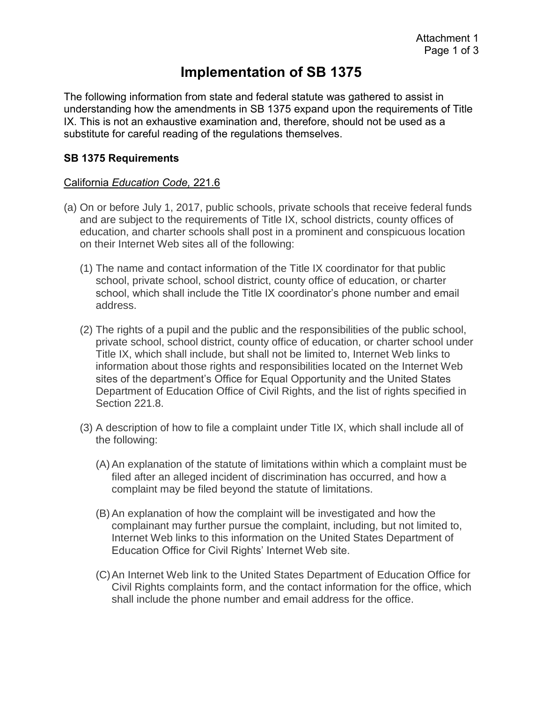# **Implementation of SB 1375**

The following information from state and federal statute was gathered to assist in understanding how the amendments in SB 1375 expand upon the requirements of Title IX. This is not an exhaustive examination and, therefore, should not be used as a substitute for careful reading of the regulations themselves.

#### **SB 1375 Requirements**

#### California *Education Code,* 221.6

- (a) On or before July 1, 2017, public schools, private schools that receive federal funds and are subject to the requirements of Title IX, school districts, county offices of education, and charter schools shall post in a prominent and conspicuous location on their Internet Web sites all of the following:
	- (1) The name and contact information of the Title IX coordinator for that public school, private school, school district, county office of education, or charter school, which shall include the Title IX coordinator's phone number and email address.
	- (2) The rights of a pupil and the public and the responsibilities of the public school, private school, school district, county office of education, or charter school under Title IX, which shall include, but shall not be limited to, Internet Web links to information about those rights and responsibilities located on the Internet Web sites of the department's Office for Equal Opportunity and the United States Department of Education Office of Civil Rights, and the list of rights specified in Section 221.8.
	- (3) A description of how to file a complaint under Title IX, which shall include all of the following:
		- (A) An explanation of the statute of limitations within which a complaint must be filed after an alleged incident of discrimination has occurred, and how a complaint may be filed beyond the statute of limitations.
		- (B) An explanation of how the complaint will be investigated and how the complainant may further pursue the complaint, including, but not limited to, Internet Web links to this information on the United States Department of Education Office for Civil Rights' Internet Web site.
		- (C)An Internet Web link to the United States Department of Education Office for Civil Rights complaints form, and the contact information for the office, which shall include the phone number and email address for the office.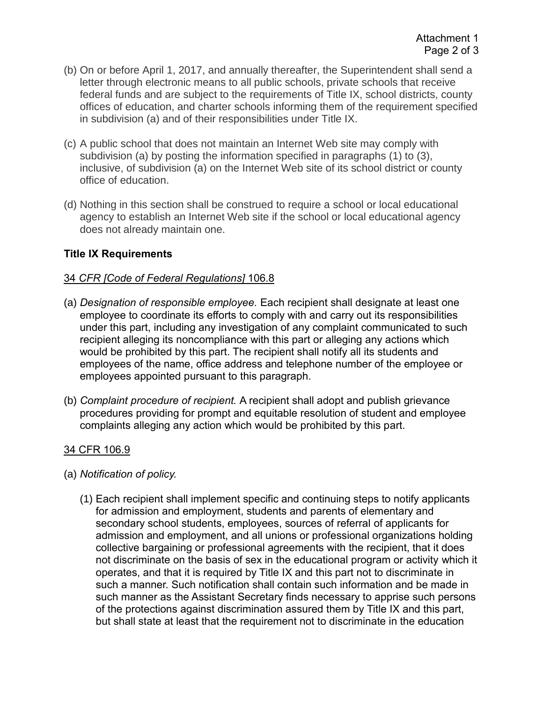- (b) On or before April 1, 2017, and annually thereafter, the Superintendent shall send a letter through electronic means to all public schools, private schools that receive federal funds and are subject to the requirements of Title IX, school districts, county offices of education, and charter schools informing them of the requirement specified in subdivision (a) and of their responsibilities under Title IX.
- (c) A public school that does not maintain an Internet Web site may comply with subdivision (a) by posting the information specified in paragraphs (1) to (3), inclusive, of subdivision (a) on the Internet Web site of its school district or county office of education.
- (d) Nothing in this section shall be construed to require a school or local educational agency to establish an Internet Web site if the school or local educational agency does not already maintain one.

## **Title IX Requirements**

### 34 *CFR [Code of Federal Regulations]* 106.8

- (a) *Designation of responsible employee.* Each recipient shall designate at least one employee to coordinate its efforts to comply with and carry out its responsibilities under this part, including any investigation of any complaint communicated to such recipient alleging its noncompliance with this part or alleging any actions which would be prohibited by this part. The recipient shall notify all its students and employees of the name, office address and telephone number of the employee or employees appointed pursuant to this paragraph.
- (b) *Complaint procedure of recipient.* A recipient shall adopt and publish grievance procedures providing for prompt and equitable resolution of student and employee complaints alleging any action which would be prohibited by this part.

## 34 CFR 106.9

- (a) *Notification of policy.* 
	- (1) Each recipient shall implement specific and continuing steps to notify applicants for admission and employment, students and parents of elementary and secondary school students, employees, sources of referral of applicants for admission and employment, and all unions or professional organizations holding collective bargaining or professional agreements with the recipient, that it does not discriminate on the basis of sex in the educational program or activity which it operates, and that it is required by Title IX and this part not to discriminate in such a manner. Such notification shall contain such information and be made in such manner as the Assistant Secretary finds necessary to apprise such persons of the protections against discrimination assured them by Title IX and this part, but shall state at least that the requirement not to discriminate in the education